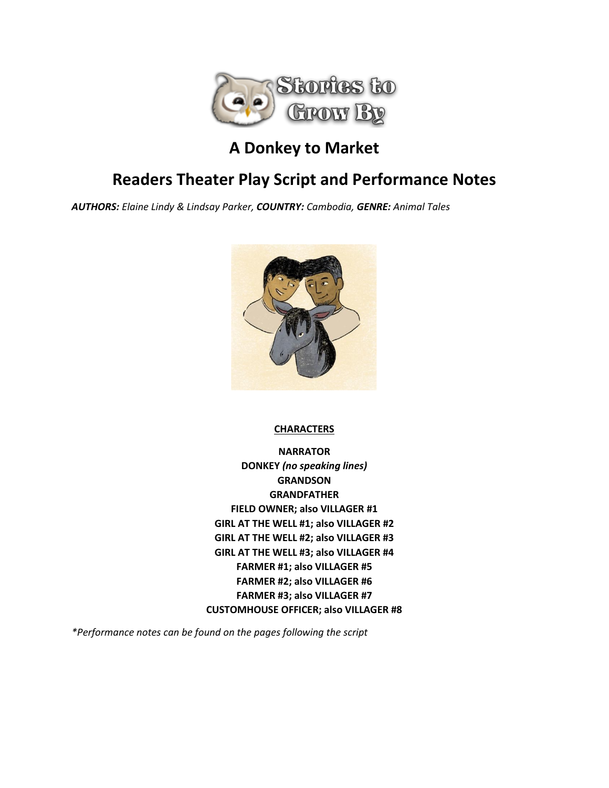

## **A Donkey to Market**

## **Readers Theater Play Script and Performance Notes**

*AUTHORS: Elaine Lindy & Lindsay Parker, COUNTRY: Cambodia, GENRE: Animal Tales*



**CHARACTERS**

**NARRATOR DONKEY** *(no speaking lines)* **GRANDSON GRANDFATHER FIELD OWNER; also VILLAGER #1 GIRL AT THE WELL #1; also VILLAGER #2 GIRL AT THE WELL #2; also VILLAGER #3 GIRL AT THE WELL #3; also VILLAGER #4 FARMER #1; also VILLAGER #5 FARMER #2; also VILLAGER #6 FARMER #3; also VILLAGER #7 CUSTOMHOUSE OFFICER; also VILLAGER #8**

*\*Performance notes can be found on the pages following the script*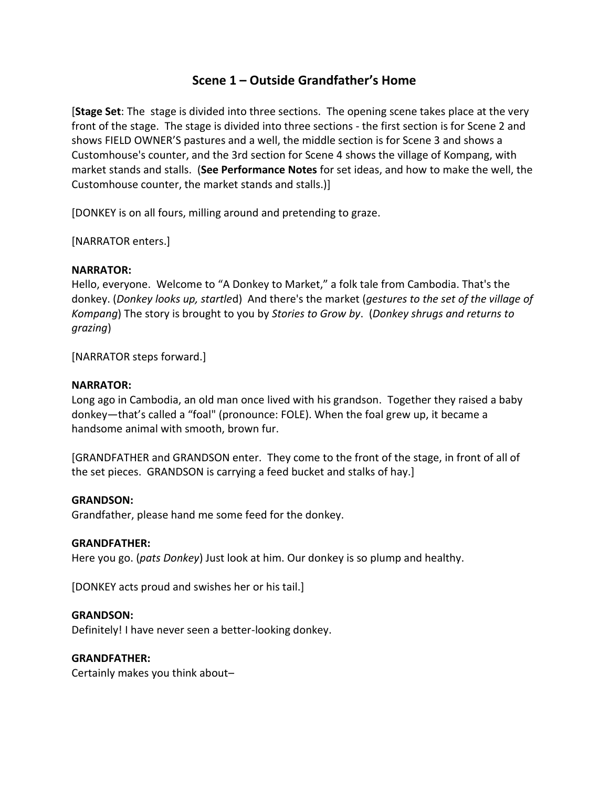## **Scene 1 – Outside Grandfather's Home**

[**Stage Set**: The stage is divided into three sections. The opening scene takes place at the very front of the stage. The stage is divided into three sections - the first section is for Scene 2 and shows FIELD OWNER'S pastures and a well, the middle section is for Scene 3 and shows a Customhouse's counter, and the 3rd section for Scene 4 shows the village of Kompang, with market stands and stalls. (**See Performance Notes** for set ideas, and how to make the well, the Customhouse counter, the market stands and stalls.)]

[DONKEY is on all fours, milling around and pretending to graze.

[NARRATOR enters.]

#### **NARRATOR:**

Hello, everyone. Welcome to "A Donkey to Market," a folk tale from Cambodia. That's the donkey. (*Donkey looks up, startle*d) And there's the market (*gestures to the set of the village of Kompang*) The story is brought to you by *Stories to Grow by*. (*Donkey shrugs and returns to grazing*)

[NARRATOR steps forward.]

#### **NARRATOR:**

Long ago in Cambodia, an old man once lived with his grandson. Together they raised a baby donkey—that's called a "foal" (pronounce: FOLE). When the foal grew up, it became a handsome animal with smooth, brown fur.

[GRANDFATHER and GRANDSON enter. They come to the front of the stage, in front of all of the set pieces. GRANDSON is carrying a feed bucket and stalks of hay.]

#### **GRANDSON:**

Grandfather, please hand me some feed for the donkey.

#### **GRANDFATHER:**

Here you go. (*pats Donkey*) Just look at him. Our donkey is so plump and healthy.

[DONKEY acts proud and swishes her or his tail.]

#### **GRANDSON:**

Definitely! I have never seen a better-looking donkey.

#### **GRANDFATHER:**

Certainly makes you think about–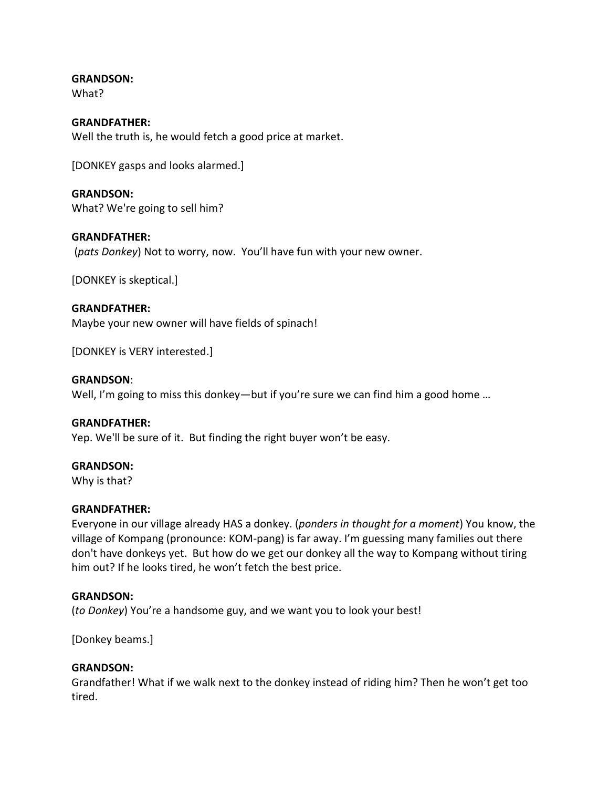**GRANDSON:**

What?

## **GRANDFATHER:**

Well the truth is, he would fetch a good price at market.

[DONKEY gasps and looks alarmed.]

**GRANDSON:** What? We're going to sell him?

#### **GRANDFATHER:**

(*pats Donkey*) Not to worry, now. You'll have fun with your new owner.

[DONKEY is skeptical.]

#### **GRANDFATHER:**

Maybe your new owner will have fields of spinach!

[DONKEY is VERY interested.]

#### **GRANDSON**:

Well, I'm going to miss this donkey—but if you're sure we can find him a good home ...

#### **GRANDFATHER:**

Yep. We'll be sure of it. But finding the right buyer won't be easy.

#### **GRANDSON:**

Why is that?

#### **GRANDFATHER:**

Everyone in our village already HAS a donkey. (*ponders in thought for a moment*) You know, the village of Kompang (pronounce: KOM-pang) is far away. I'm guessing many families out there don't have donkeys yet. But how do we get our donkey all the way to Kompang without tiring him out? If he looks tired, he won't fetch the best price.

#### **GRANDSON:**

(*to Donkey*) You're a handsome guy, and we want you to look your best!

[Donkey beams.]

#### **GRANDSON:**

Grandfather! What if we walk next to the donkey instead of riding him? Then he won't get too tired.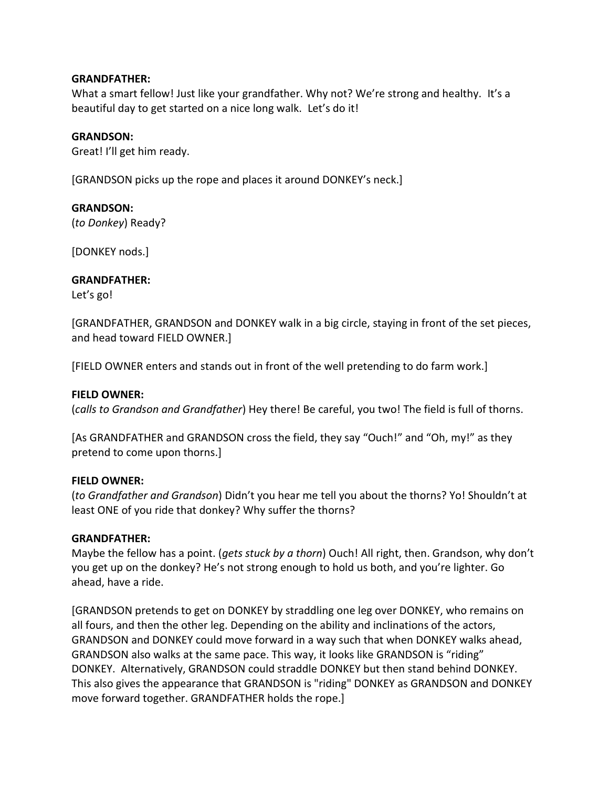#### **GRANDFATHER:**

What a smart fellow! Just like your grandfather. Why not? We're strong and healthy. It's a beautiful day to get started on a nice long walk. Let's do it!

#### **GRANDSON:**

Great! I'll get him ready.

[GRANDSON picks up the rope and places it around DONKEY's neck.]

#### **GRANDSON:**

(*to Donkey*) Ready?

[DONKEY nods.]

#### **GRANDFATHER:**

Let's go!

[GRANDFATHER, GRANDSON and DONKEY walk in a big circle, staying in front of the set pieces, and head toward FIELD OWNER.]

[FIELD OWNER enters and stands out in front of the well pretending to do farm work.]

#### **FIELD OWNER:**

(*calls to Grandson and Grandfather*) Hey there! Be careful, you two! The field is full of thorns.

[As GRANDFATHER and GRANDSON cross the field, they say "Ouch!" and "Oh, my!" as they pretend to come upon thorns.]

#### **FIELD OWNER:**

(*to Grandfather and Grandson*) Didn't you hear me tell you about the thorns? Yo! Shouldn't at least ONE of you ride that donkey? Why suffer the thorns?

#### **GRANDFATHER:**

Maybe the fellow has a point. (*gets stuck by a thorn*) Ouch! All right, then. Grandson, why don't you get up on the donkey? He's not strong enough to hold us both, and you're lighter. Go ahead, have a ride.

[GRANDSON pretends to get on DONKEY by straddling one leg over DONKEY, who remains on all fours, and then the other leg. Depending on the ability and inclinations of the actors, GRANDSON and DONKEY could move forward in a way such that when DONKEY walks ahead, GRANDSON also walks at the same pace. This way, it looks like GRANDSON is "riding" DONKEY. Alternatively, GRANDSON could straddle DONKEY but then stand behind DONKEY. This also gives the appearance that GRANDSON is "riding" DONKEY as GRANDSON and DONKEY move forward together. GRANDFATHER holds the rope.]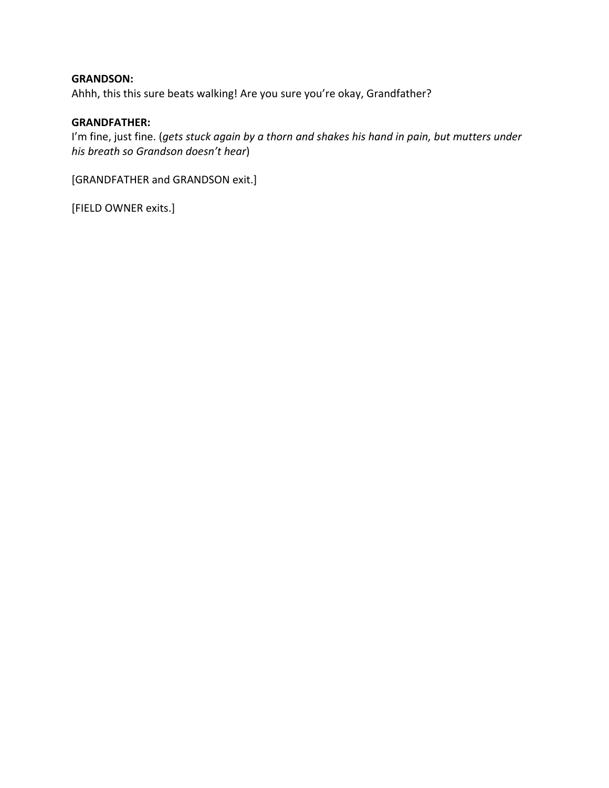#### **GRANDSON:**

Ahhh, this this sure beats walking! Are you sure you're okay, Grandfather?

#### **GRANDFATHER:**

I'm fine, just fine. (*gets stuck again by a thorn and shakes his hand in pain, but mutters under his breath so Grandson doesn't hear*)

[GRANDFATHER and GRANDSON exit.]

[FIELD OWNER exits.]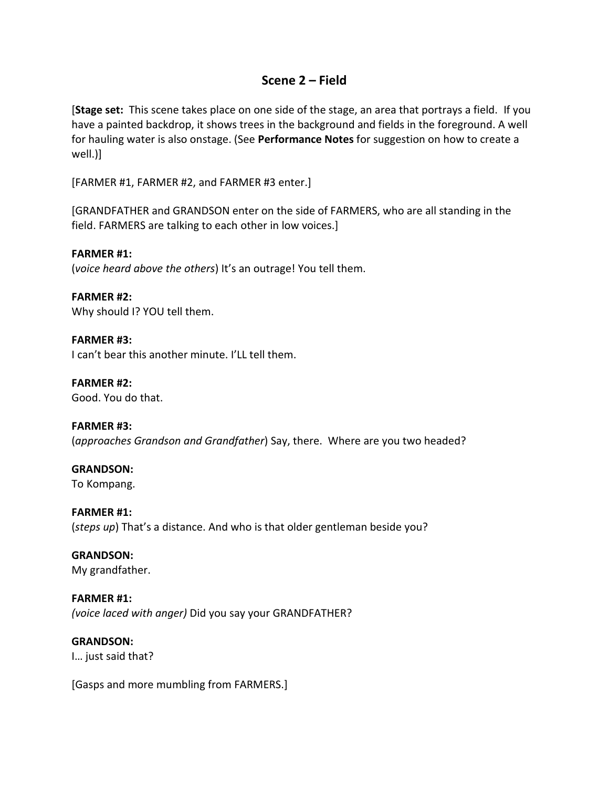### **Scene 2 – Field**

[**Stage set:** This scene takes place on one side of the stage, an area that portrays a field. If you have a painted backdrop, it shows trees in the background and fields in the foreground. A well for hauling water is also onstage. (See **Performance Notes** for suggestion on how to create a well.)]

[FARMER #1, FARMER #2, and FARMER #3 enter.]

[GRANDFATHER and GRANDSON enter on the side of FARMERS, who are all standing in the field. FARMERS are talking to each other in low voices.]

**FARMER #1:**

(*voice heard above the others*) It's an outrage! You tell them.

**FARMER #2:** Why should I? YOU tell them.

**FARMER #3:** I can't bear this another minute. I'LL tell them.

**FARMER #2:** Good. You do that.

**FARMER #3:** (*approaches Grandson and Grandfather*) Say, there. Where are you two headed?

**GRANDSON:** To Kompang.

**FARMER #1:** (*steps up*) That's a distance. And who is that older gentleman beside you?

**GRANDSON:** My grandfather.

**FARMER #1:** *(voice laced with anger)* Did you say your GRANDFATHER?

**GRANDSON:** I… just said that?

[Gasps and more mumbling from FARMERS.]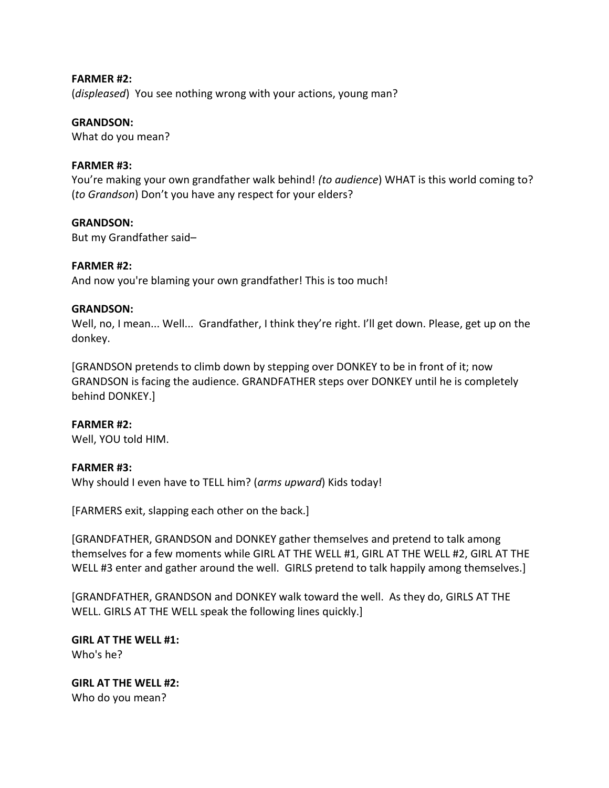#### **FARMER #2:**

(*displeased*) You see nothing wrong with your actions, young man?

#### **GRANDSON:**

What do you mean?

#### **FARMER #3:**

You're making your own grandfather walk behind! *(to audience*) WHAT is this world coming to? (*to Grandson*) Don't you have any respect for your elders?

#### **GRANDSON:**

But my Grandfather said–

#### **FARMER #2:**

And now you're blaming your own grandfather! This is too much!

#### **GRANDSON:**

Well, no, I mean... Well... Grandfather, I think they're right. I'll get down. Please, get up on the donkey.

[GRANDSON pretends to climb down by stepping over DONKEY to be in front of it; now GRANDSON is facing the audience. GRANDFATHER steps over DONKEY until he is completely behind DONKEY.]

#### **FARMER #2:**

Well, YOU told HIM.

#### **FARMER #3:**

Why should I even have to TELL him? (*arms upward*) Kids today!

[FARMERS exit, slapping each other on the back.]

[GRANDFATHER, GRANDSON and DONKEY gather themselves and pretend to talk among themselves for a few moments while GIRL AT THE WELL #1, GIRL AT THE WELL #2, GIRL AT THE WELL #3 enter and gather around the well. GIRLS pretend to talk happily among themselves.]

[GRANDFATHER, GRANDSON and DONKEY walk toward the well. As they do, GIRLS AT THE WELL. GIRLS AT THE WELL speak the following lines quickly.]

**GIRL AT THE WELL #1:** Who's he?

**GIRL AT THE WELL #2:** Who do you mean?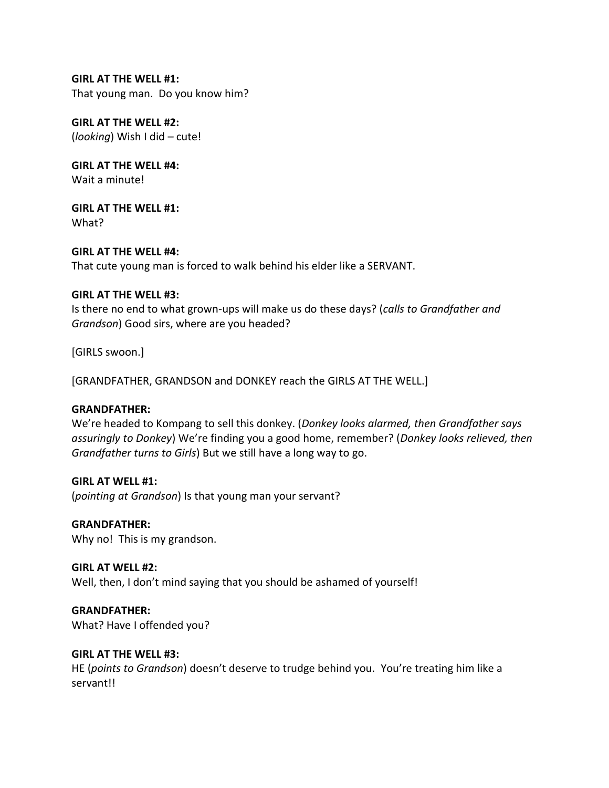#### **GIRL AT THE WELL #1:**

That young man. Do you know him?

**GIRL AT THE WELL #2:** (*looking*) Wish I did – cute!

**GIRL AT THE WELL #4:** Wait a minute!

**GIRL AT THE WELL #1:** What?

**GIRL AT THE WELL #4:** That cute young man is forced to walk behind his elder like a SERVANT.

#### **GIRL AT THE WELL #3:**

Is there no end to what grown-ups will make us do these days? (*calls to Grandfather and Grandson*) Good sirs, where are you headed?

[GIRLS swoon.]

[GRANDFATHER, GRANDSON and DONKEY reach the GIRLS AT THE WELL.]

#### **GRANDFATHER:**

We're headed to Kompang to sell this donkey. (*Donkey looks alarmed, then Grandfather says assuringly to Donkey*) We're finding you a good home, remember? (*Donkey looks relieved, then Grandfather turns to Girls*) But we still have a long way to go.

**GIRL AT WELL #1:**

(*pointing at Grandson*) Is that young man your servant?

**GRANDFATHER:** Why no! This is my grandson.

**GIRL AT WELL #2:** Well, then, I don't mind saying that you should be ashamed of yourself!

**GRANDFATHER:** What? Have I offended you?

#### **GIRL AT THE WELL #3:**

HE (*points to Grandson*) doesn't deserve to trudge behind you. You're treating him like a servant!!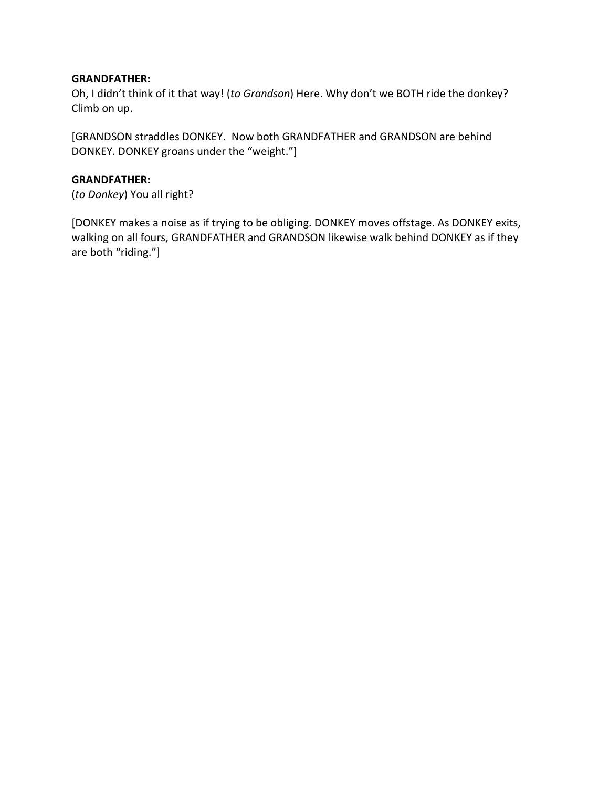#### **GRANDFATHER:**

Oh, I didn't think of it that way! (*to Grandson*) Here. Why don't we BOTH ride the donkey? Climb on up.

[GRANDSON straddles DONKEY. Now both GRANDFATHER and GRANDSON are behind DONKEY. DONKEY groans under the "weight."]

#### **GRANDFATHER:**

(*to Donkey*) You all right?

[DONKEY makes a noise as if trying to be obliging. DONKEY moves offstage. As DONKEY exits, walking on all fours, GRANDFATHER and GRANDSON likewise walk behind DONKEY as if they are both "riding."]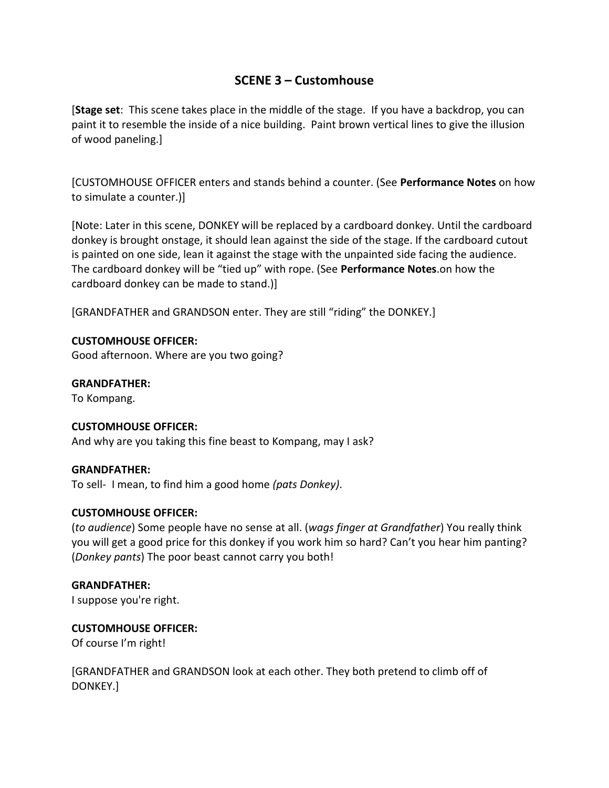## **SCENE 3 – Customhouse**

[**Stage set**: This scene takes place in the middle of the stage. If you have a backdrop, you can paint it to resemble the inside of a nice building. Paint brown vertical lines to give the illusion of wood paneling.]

[CUSTOMHOUSE OFFICER enters and stands behind a counter. (See **Performance Notes** on how to simulate a counter.)]

[Note: Later in this scene, DONKEY will be replaced by a cardboard donkey. Until the cardboard donkey is brought onstage, it should lean against the side of the stage. If the cardboard cutout is painted on one side, lean it against the stage with the unpainted side facing the audience. The cardboard donkey will be "tied up" with rope. (See **Performance Notes**.on how the cardboard donkey can be made to stand.)]

[GRANDFATHER and GRANDSON enter. They are still "riding" the DONKEY.]

#### **CUSTOMHOUSE OFFICER:**

Good afternoon. Where are you two going?

#### **GRANDFATHER:**

To Kompang.

#### **CUSTOMHOUSE OFFICER:**

And why are you taking this fine beast to Kompang, may I ask?

#### **GRANDFATHER:**

To sell- I mean, to find him a good home *(pats Donkey)*.

#### **CUSTOMHOUSE OFFICER:**

(*to audience*) Some people have no sense at all. (*wags finger at Grandfather*) You really think you will get a good price for this donkey if you work him so hard? Can't you hear him panting? (*Donkey pants*) The poor beast cannot carry you both!

#### **GRANDFATHER:**

I suppose you're right.

#### **CUSTOMHOUSE OFFICER:**

Of course I'm right!

[GRANDFATHER and GRANDSON look at each other. They both pretend to climb off of DONKEY.]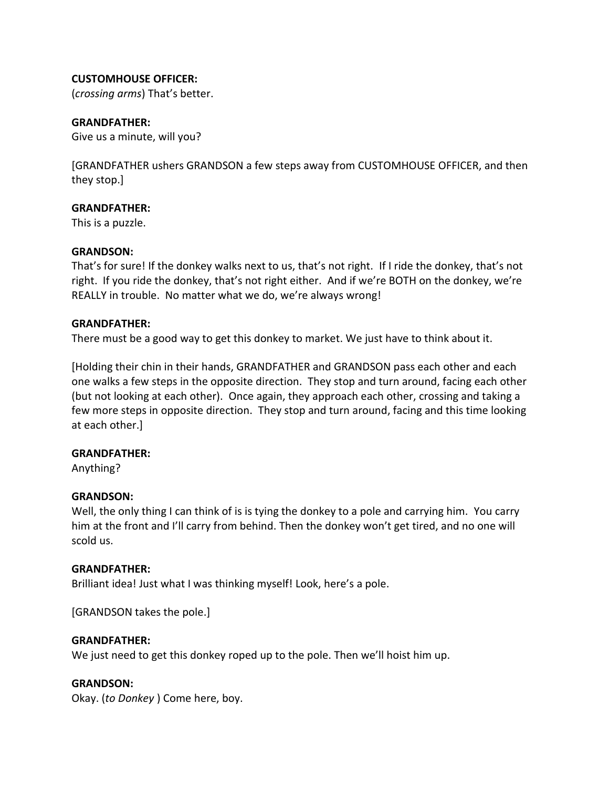#### **CUSTOMHOUSE OFFICER:**

(*crossing arms*) That's better.

#### **GRANDFATHER:**

Give us a minute, will you?

[GRANDFATHER ushers GRANDSON a few steps away from CUSTOMHOUSE OFFICER, and then they stop.]

#### **GRANDFATHER:**

This is a puzzle.

#### **GRANDSON:**

That's for sure! If the donkey walks next to us, that's not right. If I ride the donkey, that's not right. If you ride the donkey, that's not right either. And if we're BOTH on the donkey, we're REALLY in trouble. No matter what we do, we're always wrong!

#### **GRANDFATHER:**

There must be a good way to get this donkey to market. We just have to think about it.

[Holding their chin in their hands, GRANDFATHER and GRANDSON pass each other and each one walks a few steps in the opposite direction. They stop and turn around, facing each other (but not looking at each other). Once again, they approach each other, crossing and taking a few more steps in opposite direction. They stop and turn around, facing and this time looking at each other.]

#### **GRANDFATHER:**

Anything?

#### **GRANDSON:**

Well, the only thing I can think of is is tying the donkey to a pole and carrying him. You carry him at the front and I'll carry from behind. Then the donkey won't get tired, and no one will scold us.

#### **GRANDFATHER:**

Brilliant idea! Just what I was thinking myself! Look, here's a pole.

[GRANDSON takes the pole.]

#### **GRANDFATHER:**

We just need to get this donkey roped up to the pole. Then we'll hoist him up.

#### **GRANDSON:**

Okay. (*to Donkey* ) Come here, boy.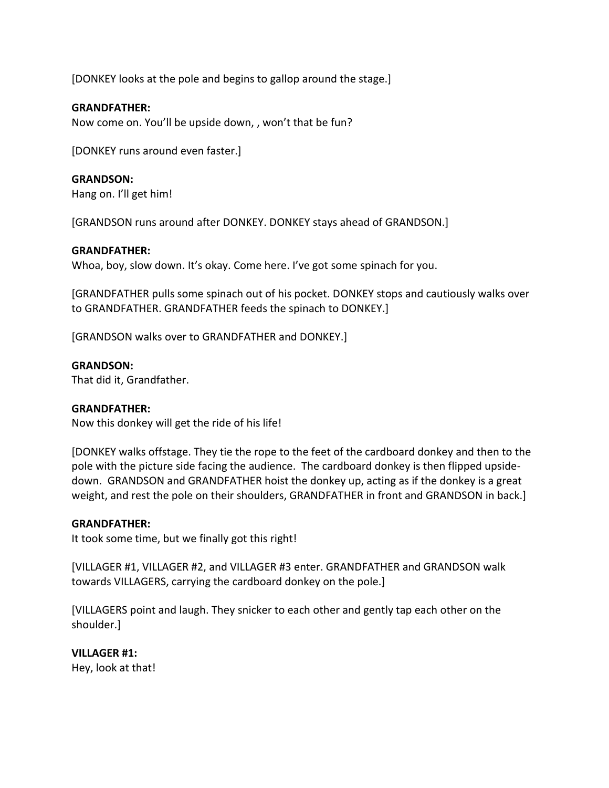[DONKEY looks at the pole and begins to gallop around the stage.]

#### **GRANDFATHER:**

Now come on. You'll be upside down, , won't that be fun?

[DONKEY runs around even faster.]

#### **GRANDSON:**

Hang on. I'll get him!

[GRANDSON runs around after DONKEY. DONKEY stays ahead of GRANDSON.]

#### **GRANDFATHER:**

Whoa, boy, slow down. It's okay. Come here. I've got some spinach for you.

[GRANDFATHER pulls some spinach out of his pocket. DONKEY stops and cautiously walks over to GRANDFATHER. GRANDFATHER feeds the spinach to DONKEY.]

[GRANDSON walks over to GRANDFATHER and DONKEY.]

#### **GRANDSON:**

That did it, Grandfather.

#### **GRANDFATHER:**

Now this donkey will get the ride of his life!

[DONKEY walks offstage. They tie the rope to the feet of the cardboard donkey and then to the pole with the picture side facing the audience. The cardboard donkey is then flipped upsidedown. GRANDSON and GRANDFATHER hoist the donkey up, acting as if the donkey is a great weight, and rest the pole on their shoulders, GRANDFATHER in front and GRANDSON in back.]

#### **GRANDFATHER:**

It took some time, but we finally got this right!

[VILLAGER #1, VILLAGER #2, and VILLAGER #3 enter. GRANDFATHER and GRANDSON walk towards VILLAGERS, carrying the cardboard donkey on the pole.]

[VILLAGERS point and laugh. They snicker to each other and gently tap each other on the shoulder.]

#### **VILLAGER #1:**

Hey, look at that!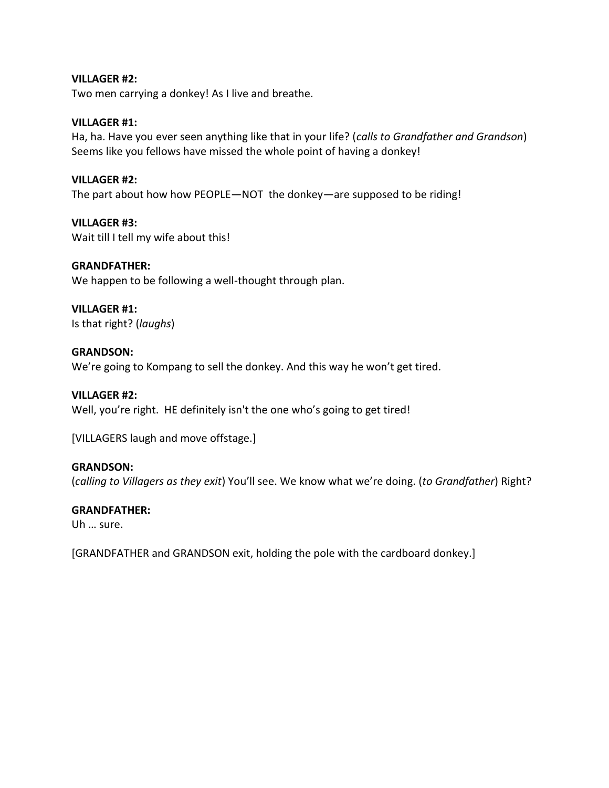#### **VILLAGER #2:**

Two men carrying a donkey! As I live and breathe.

#### **VILLAGER #1:**

Ha, ha. Have you ever seen anything like that in your life? (*calls to Grandfather and Grandson*) Seems like you fellows have missed the whole point of having a donkey!

#### **VILLAGER #2:**

The part about how how PEOPLE*—*NOT the donkey*—*are supposed to be riding!

**VILLAGER #3:** Wait till I tell my wife about this!

#### **GRANDFATHER:**

We happen to be following a well-thought through plan.

#### **VILLAGER #1:**

Is that right? (*laughs*)

#### **GRANDSON:**

We're going to Kompang to sell the donkey. And this way he won't get tired.

#### **VILLAGER #2:**

Well, you're right. HE definitely isn't the one who's going to get tired!

[VILLAGERS laugh and move offstage.]

#### **GRANDSON:**

(*calling to Villagers as they exit*) You'll see. We know what we're doing. (*to Grandfather*) Right?

#### **GRANDFATHER:**

Uh … sure.

[GRANDFATHER and GRANDSON exit, holding the pole with the cardboard donkey.]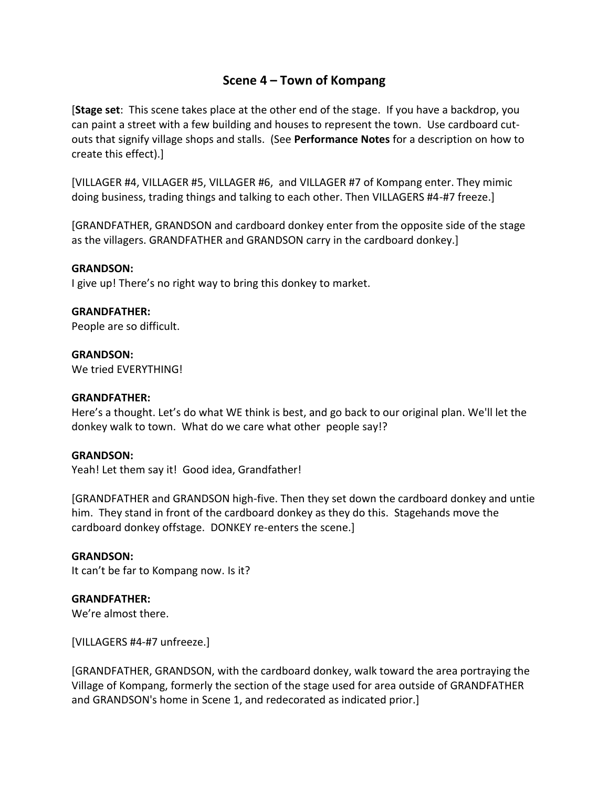## **Scene 4 – Town of Kompang**

[**Stage set**: This scene takes place at the other end of the stage. If you have a backdrop, you can paint a street with a few building and houses to represent the town. Use cardboard cutouts that signify village shops and stalls. (See **Performance Notes** for a description on how to create this effect).]

[VILLAGER #4, VILLAGER #5, VILLAGER #6, and VILLAGER #7 of Kompang enter. They mimic doing business, trading things and talking to each other. Then VILLAGERS #4-#7 freeze.]

[GRANDFATHER, GRANDSON and cardboard donkey enter from the opposite side of the stage as the villagers. GRANDFATHER and GRANDSON carry in the cardboard donkey.]

#### **GRANDSON:**

I give up! There's no right way to bring this donkey to market.

#### **GRANDFATHER:**

People are so difficult.

**GRANDSON:** We tried EVERYTHING!

#### **GRANDFATHER:**

Here's a thought. Let's do what WE think is best, and go back to our original plan. We'll let the donkey walk to town. What do we care what other people say!?

#### **GRANDSON:**

Yeah! Let them say it! Good idea, Grandfather!

[GRANDFATHER and GRANDSON high-five. Then they set down the cardboard donkey and untie him. They stand in front of the cardboard donkey as they do this. Stagehands move the cardboard donkey offstage. DONKEY re-enters the scene.]

#### **GRANDSON:**

It can't be far to Kompang now. Is it?

#### **GRANDFATHER:**

We're almost there.

[VILLAGERS #4-#7 unfreeze.]

[GRANDFATHER, GRANDSON, with the cardboard donkey, walk toward the area portraying the Village of Kompang, formerly the section of the stage used for area outside of GRANDFATHER and GRANDSON's home in Scene 1, and redecorated as indicated prior.]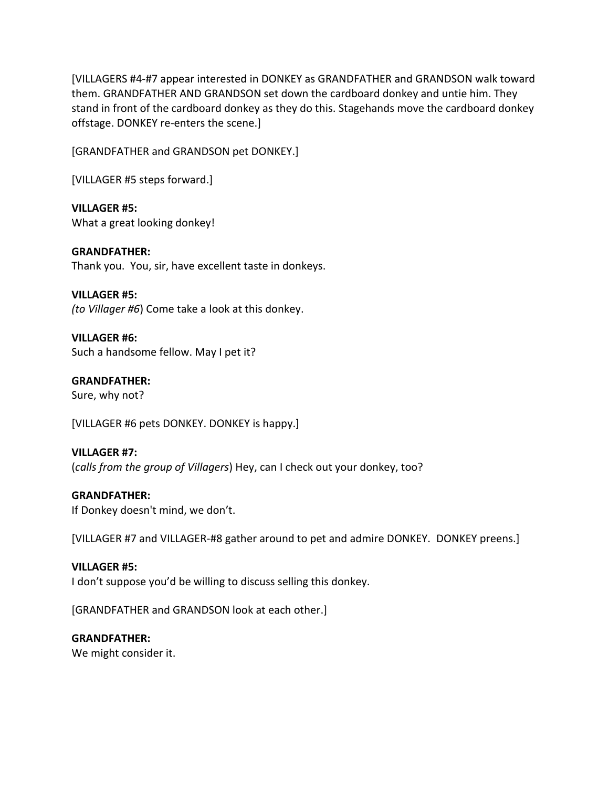[VILLAGERS #4-#7 appear interested in DONKEY as GRANDFATHER and GRANDSON walk toward them. GRANDFATHER AND GRANDSON set down the cardboard donkey and untie him. They stand in front of the cardboard donkey as they do this. Stagehands move the cardboard donkey offstage. DONKEY re-enters the scene.]

[GRANDFATHER and GRANDSON pet DONKEY.]

[VILLAGER #5 steps forward.]

**VILLAGER #5:** What a great looking donkey!

**GRANDFATHER:** Thank you. You, sir, have excellent taste in donkeys.

**VILLAGER #5:** *(to Villager #6*) Come take a look at this donkey.

**VILLAGER #6:** Such a handsome fellow. May I pet it?

**GRANDFATHER:** Sure, why not?

[VILLAGER #6 pets DONKEY. DONKEY is happy.]

**VILLAGER #7:** (*calls from the group of Villagers*) Hey, can I check out your donkey, too?

**GRANDFATHER:** If Donkey doesn't mind, we don't.

[VILLAGER #7 and VILLAGER-#8 gather around to pet and admire DONKEY. DONKEY preens.]

**VILLAGER #5:** I don't suppose you'd be willing to discuss selling this donkey.

[GRANDFATHER and GRANDSON look at each other.]

**GRANDFATHER:** We might consider it.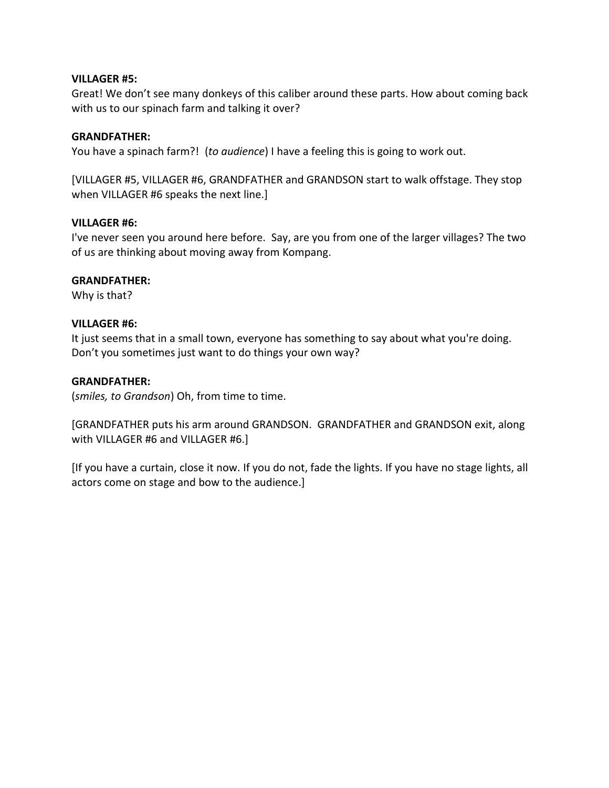#### **VILLAGER #5:**

Great! We don't see many donkeys of this caliber around these parts. How about coming back with us to our spinach farm and talking it over?

#### **GRANDFATHER:**

You have a spinach farm?! (*to audience*) I have a feeling this is going to work out.

[VILLAGER #5, VILLAGER #6, GRANDFATHER and GRANDSON start to walk offstage. They stop when VILLAGER #6 speaks the next line.]

#### **VILLAGER #6:**

I've never seen you around here before. Say, are you from one of the larger villages? The two of us are thinking about moving away from Kompang.

#### **GRANDFATHER:**

Why is that?

#### **VILLAGER #6:**

It just seems that in a small town, everyone has something to say about what you're doing. Don't you sometimes just want to do things your own way?

#### **GRANDFATHER:**

(*smiles, to Grandson*) Oh, from time to time.

[GRANDFATHER puts his arm around GRANDSON. GRANDFATHER and GRANDSON exit, along with VILLAGER #6 and VILLAGER #6.]

[If you have a curtain, close it now. If you do not, fade the lights. If you have no stage lights, all actors come on stage and bow to the audience.]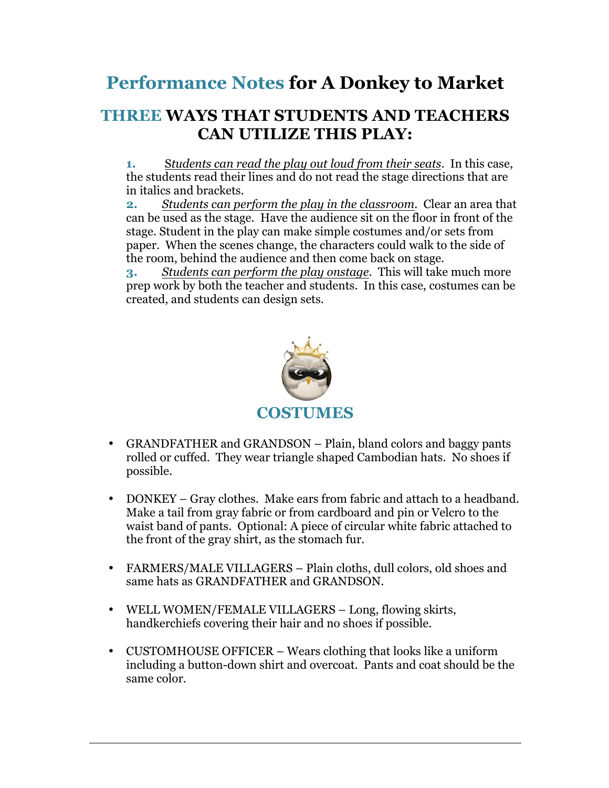# **Performance Notes for A Donkey to Market**

## **THREE WAYS THAT STUDENTS AND TEACHERS CAN UTILIZE THIS PLAY:**

**1.** S*tudents can read the play out loud from their seats*. In this case, the students read their lines and do not read the stage directions that are in italics and brackets.

**2.** *Students can perform the play in the classroom*. Clear an area that can be used as the stage. Have the audience sit on the floor in front of the stage. Student in the play can make simple costumes and/or sets from paper. When the scenes change, the characters could walk to the side of the room, behind the audience and then come back on stage.

**3.** *Students can perform the play onstage*. This will take much more prep work by both the teacher and students. In this case, costumes can be created, and students can design sets.



- GRANDFATHER and GRANDSON Plain, bland colors and baggy pants rolled or cuffed. They wear triangle shaped Cambodian hats. No shoes if possible.
- DONKEY Gray clothes. Make ears from fabric and attach to a headband. Make a tail from gray fabric or from cardboard and pin or Velcro to the waist band of pants. Optional: A piece of circular white fabric attached to the front of the gray shirt, as the stomach fur.
- FARMERS/MALE VILLAGERS Plain cloths, dull colors, old shoes and same hats as GRANDFATHER and GRANDSON.
- WELL WOMEN/FEMALE VILLAGERS Long, flowing skirts, handkerchiefs covering their hair and no shoes if possible.
- CUSTOMHOUSE OFFICER Wears clothing that looks like a uniform including a button-down shirt and overcoat. Pants and coat should be the same color.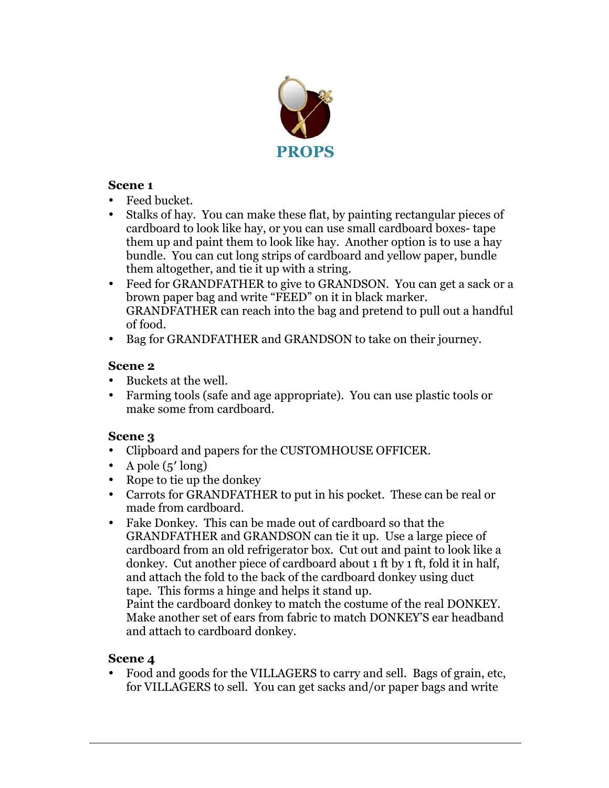

## **Scene 1**

- Feed bucket.
- Stalks of hay. You can make these flat, by painting rectangular pieces of cardboard to look like hay, or you can use small cardboard boxes- tape them up and paint them to look like hay. Another option is to use a hay bundle. You can cut long strips of cardboard and yellow paper, bundle them altogether, and tie it up with a string.
- Feed for GRANDFATHER to give to GRANDSON. You can get a sack or a brown paper bag and write "FEED" on it in black marker. GRANDFATHER can reach into the bag and pretend to pull out a handful of food.
- Bag for GRANDFATHER and GRANDSON to take on their journey.

### **Scene 2**

- Buckets at the well.
- Farming tools (safe and age appropriate). You can use plastic tools or make some from cardboard.

## **Scene 3**

- Clipboard and papers for the CUSTOMHOUSE OFFICER.
- A pole  $(5' \text{ long})$
- Rope to tie up the donkey
- Carrots for GRANDFATHER to put in his pocket. These can be real or made from cardboard.
- Fake Donkey. This can be made out of cardboard so that the GRANDFATHER and GRANDSON can tie it up. Use a large piece of cardboard from an old refrigerator box. Cut out and paint to look like a donkey. Cut another piece of cardboard about 1 ft by 1 ft, fold it in half, and attach the fold to the back of the cardboard donkey using duct tape. This forms a hinge and helps it stand up.

Paint the cardboard donkey to match the costume of the real DONKEY. Make another set of ears from fabric to match DONKEY'S ear headband and attach to cardboard donkey.

### **Scene 4**

• Food and goods for the VILLAGERS to carry and sell. Bags of grain, etc, for VILLAGERS to sell. You can get sacks and/or paper bags and write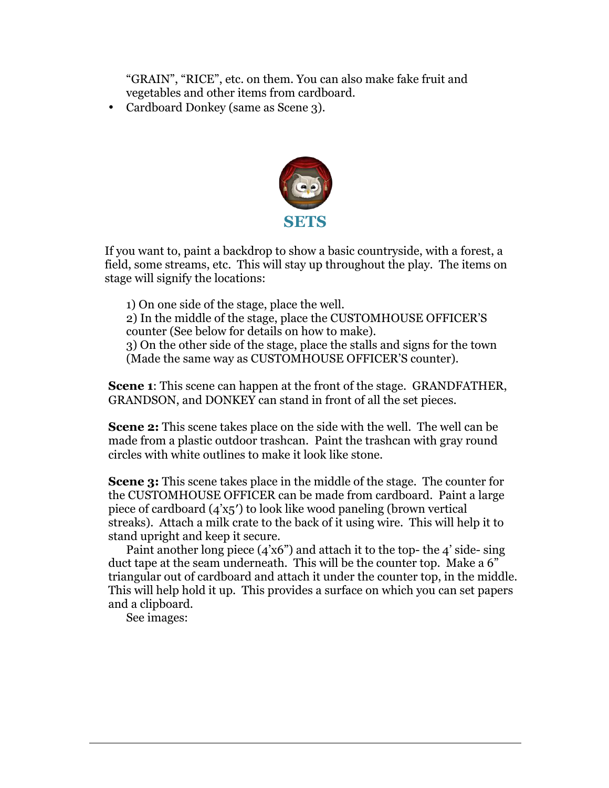"GRAIN", "RICE", etc. on them. You can also make fake fruit and vegetables and other items from cardboard.

• Cardboard Donkey (same as Scene 3).



If you want to, paint a backdrop to show a basic countryside, with a forest, a field, some streams, etc. This will stay up throughout the play. The items on stage will signify the locations:

 1) On one side of the stage, place the well. 2) In the middle of the stage, place the CUSTOMHOUSE OFFICER'S counter (See below for details on how to make). 3) On the other side of the stage, place the stalls and signs for the town (Made the same way as CUSTOMHOUSE OFFICER'S counter).

**Scene 1**: This scene can happen at the front of the stage. GRANDFATHER, GRANDSON, and DONKEY can stand in front of all the set pieces.

**Scene 2:** This scene takes place on the side with the well. The well can be made from a plastic outdoor trashcan. Paint the trashcan with gray round circles with white outlines to make it look like stone.

**Scene 3:** This scene takes place in the middle of the stage. The counter for the CUSTOMHOUSE OFFICER can be made from cardboard. Paint a large piece of cardboard (4'x5′) to look like wood paneling (brown vertical streaks). Attach a milk crate to the back of it using wire. This will help it to stand upright and keep it secure.

Paint another long piece  $(4'x6'')$  and attach it to the top- the  $4'$  side-sing duct tape at the seam underneath. This will be the counter top. Make a 6" triangular out of cardboard and attach it under the counter top, in the middle. This will help hold it up. This provides a surface on which you can set papers and a clipboard.

See images: